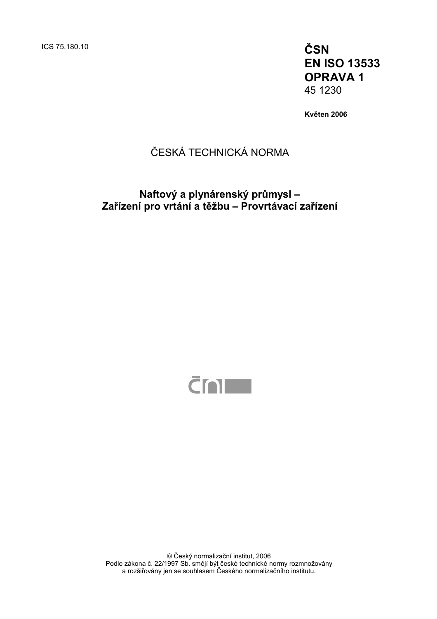**EN ISO 13533 OPRAVA 1**  45 1230

**Květen 2006** 

# ČESKÁ TECHNICKÁ NORMA

## **Naftový a plynárenský průmysl – Zařízení pro vrtání a těžbu – Provrtávací zařízení**



© Český normalizační institut, 2006 Podle zákona č. 22/1997 Sb. smějí být české technické normy rozmnožovány a rozšiřovány jen se souhlasem Českého normalizačního institutu.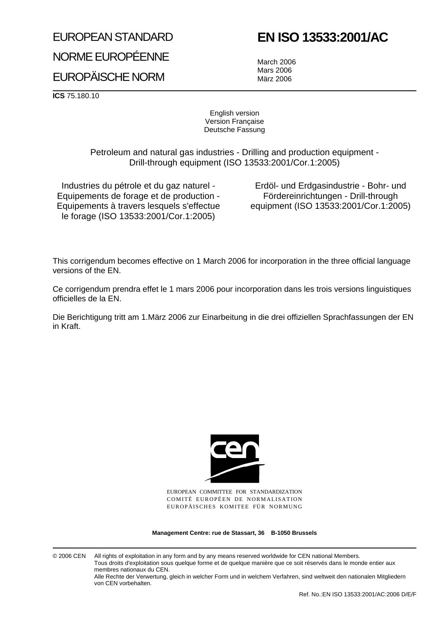# EUROPEAN STANDARD NORME EUROPÉENNE EUROPÄISCHE NORM

# **EN ISO 13533:2001/AC**

March 2006 Mars 2006 März 2006

**ICS** 75.180.10

English version Version Française Deutsche Fassung

Petroleum and natural gas industries - Drilling and production equipment - Drill-through equipment (ISO 13533:2001/Cor.1:2005)

Industries du pétrole et du gaz naturel - Equipements de forage et de production - Equipements à travers lesquels s'effectue le forage (ISO 13533:2001/Cor.1:2005)

Erdöl- und Erdgasindustrie - Bohr- und Fördereinrichtungen - Drill-through equipment (ISO 13533:2001/Cor.1:2005)

This corrigendum becomes effective on 1 March 2006 for incorporation in the three official language versions of the EN.

Ce corrigendum prendra effet le 1 mars 2006 pour incorporation dans les trois versions linguistiques officielles de la EN.

Die Berichtigung tritt am 1.März 2006 zur Einarbeitung in die drei offiziellen Sprachfassungen der EN in Kraft.



EUROPEAN COMMITTEE FOR STANDARDIZATION COMITÉ EUROPÉEN DE NORMALISATION EUROPÄISCHES KOMITEE FÜR NORMUNG

**Management Centre: rue de Stassart, 36 B-1050 Brussels**

© 2006 CEN All rights of exploitation in any form and by any means reserved worldwide for CEN national Members. Tous droits d'exploitation sous quelque forme et de quelque manière que ce soit réservés dans le monde entier aux membres nationaux du CEN.

Alle Rechte der Verwertung, gleich in welcher Form und in welchem Verfahren, sind weltweit den nationalen Mitgliedern von CEN vorbehalten.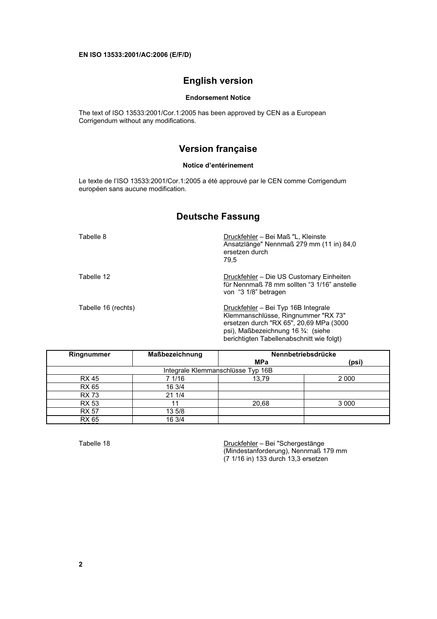## **English version**

#### **Endorsement Notice**

The text of ISO 13533:2001/Cor.1:2005 has been approved by CEN as a European Corrigendum without any modifications.

## **Version française**

#### **Notice d'entérinement**

Le texte de l'ISO 13533:2001/Cor.1:2005 a été approuvé par le CEN comme Corrigendum européen sans aucune modification.

## **Deutsche Fassung**

| Tabelle 8           | Druckfehler - Bei Maß "L, Kleinste<br>Ansatzlänge" Nennmaß 279 mm (11 in) 84,0<br>ersetzen durch<br>79.5                                                                                                  |
|---------------------|-----------------------------------------------------------------------------------------------------------------------------------------------------------------------------------------------------------|
| Tabelle 12          | Druckfehler - Die US Customary Einheiten<br>für Nennmaß 78 mm sollten "3 1/16" anstelle<br>von "3 1/8" betragen                                                                                           |
| Tabelle 16 (rechts) | Druckfehler – Bei Typ 16B Integrale<br>Klemmanschlüsse, Ringnummer "RX 73"<br>ersetzen durch "RX 65", 20,69 MPa (3000<br>psi), Maßbezeichnung 16 3/4: (siehe<br>berichtigten Tabellenabschnitt wie folgt) |

| Ringnummer                        | Maßbezeichnung | Nennbetriebsdrücke |         |  |
|-----------------------------------|----------------|--------------------|---------|--|
|                                   |                | <b>MPa</b>         | (psi)   |  |
| Integrale Klemmanschlüsse Typ 16B |                |                    |         |  |
| <b>RX 45</b>                      | 71/16          | 13,79              | 2 0 0 0 |  |
| <b>RX 65</b>                      | 16 3/4         |                    |         |  |
| <b>RX 73</b>                      | 21 1/4         |                    |         |  |
| <b>RX 53</b>                      | 11             | 20,68              | 3 0 0 0 |  |
| <b>RX 57</b>                      | 13 5/8         |                    |         |  |
| <u>RX 65</u>                      | 16 3/4         |                    |         |  |

Tabelle 18 Druckfehler – Bei "Schergestänge (Mindestanforderung), Nennmaß 179 mm (7 1/16 in) 133 durch 13,3 ersetzen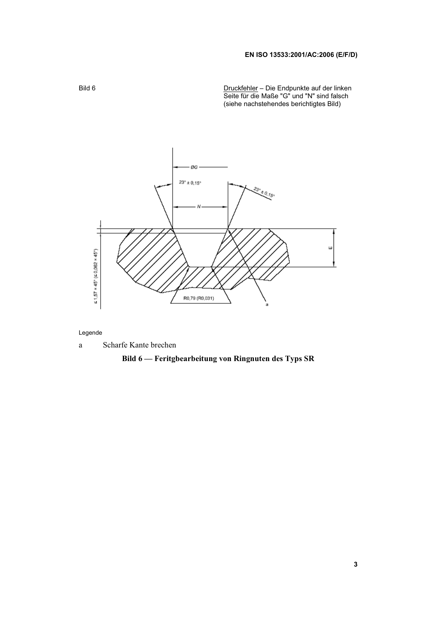### **EN ISO 13533:2001/AC:2006 (E/F/D)**

Bild 6 <u>Druckfehler</u> – Die Endpunkte auf der linken Seite für die Maße "G" und "N" sind falsch (siehe nachstehendes berichtigtes Bild)



#### Legende

a Scharfe Kante brechen

## **Bild 6 — Feritgbearbeitung von Ringnuten des Typs SR**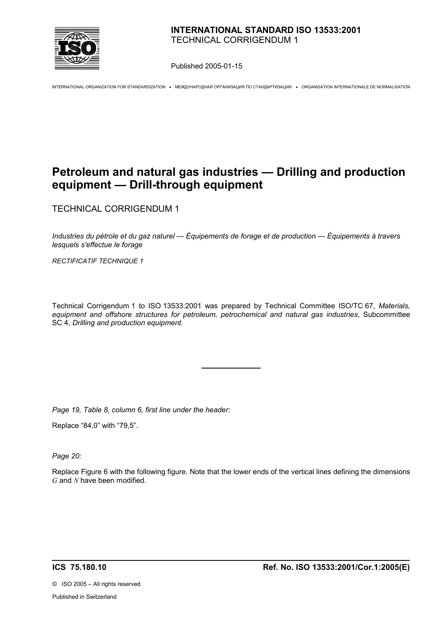

Published 2005-01-15

INTERNATIONAL ORGANIZATION FOR STANDARDIZATION • МЕЖДУНАРОДНАЯ ОРГАНИЗАЦИЯ ПО СТАНДАРТИЗАЦИИ • ORGANISATION INTERNATIONALE DE NORMALISATION

## **Petroleum and natural gas industries — Drilling and production equipment — Drill-through equipment**

TECHNICAL CORRIGENDUM 1

*Industries du pétrole et du gaz naturel — Équipements de forage et de production — Équipements à travers lesquels s'effectue le forage*

*RECTIFICATIF TECHNIQUE 1*

Technical Corrigendum 1 to ISO 13533:2001 was prepared by Technical Committee ISO/TC 67, *Materials, equipment and offshore structures for petroleum, petrochemical and natural gas industries*, Subcommittee SC 4, *Drilling and production equipment.* 

*Page 19, Table 8, column 6, first line under the header:* 

Replace "84,0" with "79,5".

*Page 20:* 

Replace Figure 6 with the following figure. Note that the lower ends of the vertical lines defining the dimensions *G* and *N* have been modified.

©ISO 2005 – All rights reserved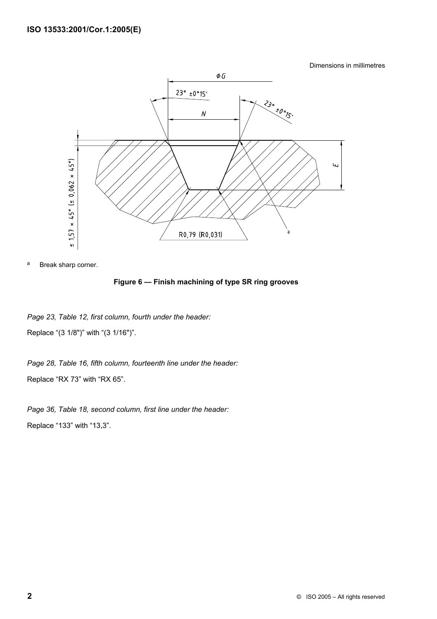Dimensions in millimetres



a Break sharp corner.

### **Figure 6 — Finish machining of type SR ring grooves**

*Page 23, Table 12, first column, fourth under the header:*  Replace "(3 1/8")" with "(3 1/16")".

*Page 28, Table 16, fifth column, fourteenth line under the header:*  Replace "RX 73" with "RX 65".

*Page 36, Table 18, second column, first line under the header:*  Replace "133" with "13,3".